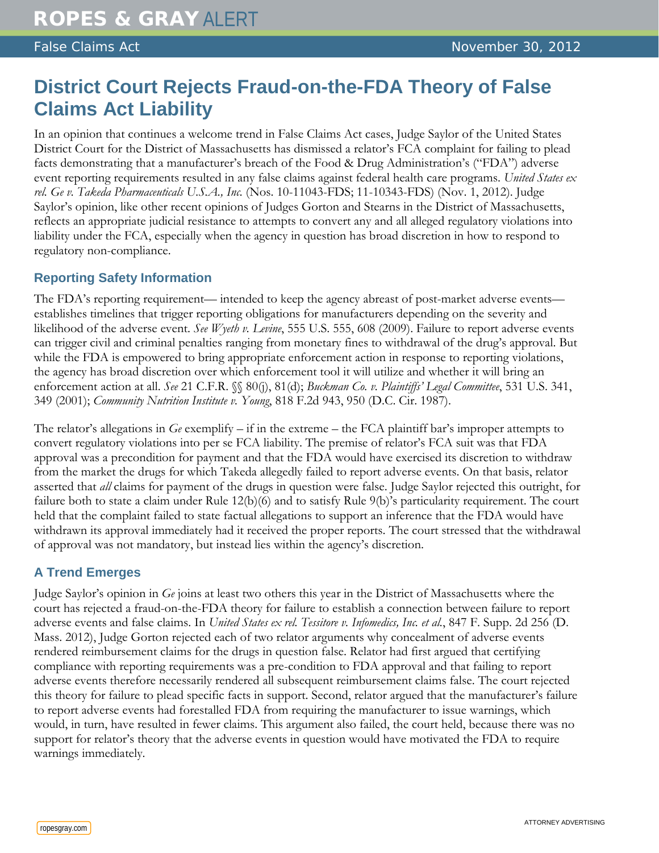## **District Court Rejects Fraud-on-the-FDA Theory of False Claims Act Liability**

In an opinion that continues a welcome trend in False Claims Act cases, Judge Saylor of the United States District Court for the District of Massachusetts has dismissed a relator's FCA complaint for failing to plead facts demonstrating that a manufacturer's breach of the Food & Drug Administration's ("FDA") adverse event reporting requirements resulted in any false claims against federal health care programs. *United States ex rel. Ge v. Takeda Pharmaceuticals U.S.A., Inc.* (Nos. 10-11043-FDS; 11-10343-FDS) (Nov. 1, 2012). Judge Saylor's opinion, like other recent opinions of Judges Gorton and Stearns in the District of Massachusetts, reflects an appropriate judicial resistance to attempts to convert any and all alleged regulatory violations into liability under the FCA, especially when the agency in question has broad discretion in how to respond to regulatory non-compliance.

## **Reporting Safety Information**

The FDA's reporting requirement— intended to keep the agency abreast of post-market adverse events establishes timelines that trigger reporting obligations for manufacturers depending on the severity and likelihood of the adverse event. *See Wyeth v. Levine*, 555 U.S. 555, 608 (2009). Failure to report adverse events can trigger civil and criminal penalties ranging from monetary fines to withdrawal of the drug's approval. But while the FDA is empowered to bring appropriate enforcement action in response to reporting violations, the agency has broad discretion over which enforcement tool it will utilize and whether it will bring an enforcement action at all. *See* 21 C.F.R. §§ 80(j), 81(d); *Buckman Co. v. Plaintiffs' Legal Committee*, 531 U.S. 341, 349 (2001); *Community Nutrition Institute v. Young*, 818 F.2d 943, 950 (D.C. Cir. 1987).

The relator's allegations in *Ge* exemplify – if in the extreme – the FCA plaintiff bar's improper attempts to convert regulatory violations into per se FCA liability. The premise of relator's FCA suit was that FDA approval was a precondition for payment and that the FDA would have exercised its discretion to withdraw from the market the drugs for which Takeda allegedly failed to report adverse events. On that basis, relator asserted that *all* claims for payment of the drugs in question were false. Judge Saylor rejected this outright, for failure both to state a claim under Rule 12(b)(6) and to satisfy Rule 9(b)'s particularity requirement. The court held that the complaint failed to state factual allegations to support an inference that the FDA would have withdrawn its approval immediately had it received the proper reports. The court stressed that the withdrawal of approval was not mandatory, but instead lies within the agency's discretion.

## **A Trend Emerges**

Judge Saylor's opinion in *Ge* joins at least two others this year in the District of Massachusetts where the court has rejected a fraud-on-the-FDA theory for failure to establish a connection between failure to report adverse events and false claims. In *United States ex rel. Tessitore v. Infomedics, Inc. et al.*, 847 F. Supp. 2d 256 (D. Mass. 2012), Judge Gorton rejected each of two relator arguments why concealment of adverse events rendered reimbursement claims for the drugs in question false. Relator had first argued that certifying compliance with reporting requirements was a pre-condition to FDA approval and that failing to report adverse events therefore necessarily rendered all subsequent reimbursement claims false. The court rejected this theory for failure to plead specific facts in support. Second, relator argued that the manufacturer's failure to report adverse events had forestalled FDA from requiring the manufacturer to issue warnings, which would, in turn, have resulted in fewer claims. This argument also failed, the court held, because there was no support for relator's theory that the adverse events in question would have motivated the FDA to require warnings immediately.